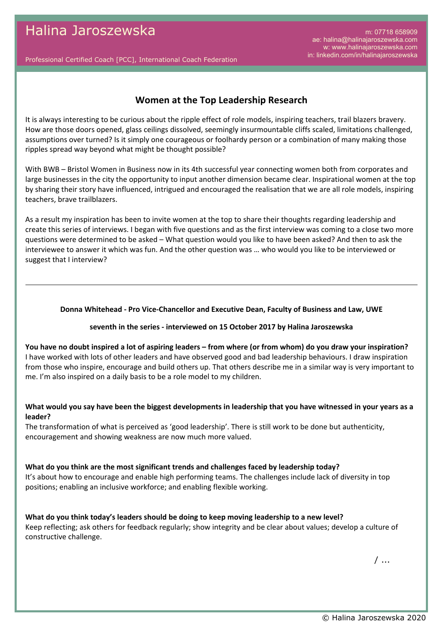m: 07718 658909 ae: halina@halinajaroszewska.com w: www.halinajaroszewska.com in: linkedin.com/in/halinajaroszewska

Professional Certified Coach [PCC], International Coach Federation

# **Women at the Top Leadership Research**

It is always interesting to be curious about the ripple effect of role models, inspiring teachers, trail blazers bravery. How are those doors opened, glass ceilings dissolved, seemingly insurmountable cliffs scaled, limitations challenged, assumptions over turned? Is it simply one courageous or foolhardy person or a combination of many making those ripples spread way beyond what might be thought possible?

With BWB – Bristol Women in Business now in its 4th successful year connecting women both from corporates and large businesses in the city the opportunity to input another dimension became clear. Inspirational women at the top by sharing their story have influenced, intrigued and encouraged the realisation that we are all role models, inspiring teachers, brave trailblazers.

As a result my inspiration has been to invite women at the top to share their thoughts regarding leadership and create this series of interviews. I began with five questions and as the first interview was coming to a close two more questions were determined to be asked – What question would you like to have been asked? And then to ask the interviewee to answer it which was fun. And the other question was … who would you like to be interviewed or suggest that I interview?

#### **Donna Whitehead - Pro Vice-Chancellor and Executive Dean, Faculty of Business and Law, UWE**

#### **seventh in the series - interviewed on 15 October 2017 by Halina Jaroszewska**

**You have no doubt inspired a lot of aspiring leaders – from where (or from whom) do you draw your inspiration?** I have worked with lots of other leaders and have observed good and bad leadership behaviours. I draw inspiration from those who inspire, encourage and build others up. That others describe me in a similar way is very important to me. I'm also inspired on a daily basis to be a role model to my children.

### **What would you say have been the biggest developments in leadership that you have witnessed in your years as a leader?**

The transformation of what is perceived as 'good leadership'. There is still work to be done but authenticity, encouragement and showing weakness are now much more valued.

#### **What do you think are the most significant trends and challenges faced by leadership today?**

It's about how to encourage and enable high performing teams. The challenges include lack of diversity in top positions; enabling an inclusive workforce; and enabling flexible working.

**What do you think today's leaders should be doing to keep moving leadership to a new level?** Keep reflecting; ask others for feedback regularly; show integrity and be clear about values; develop a culture of constructive challenge.

 $/$ ...